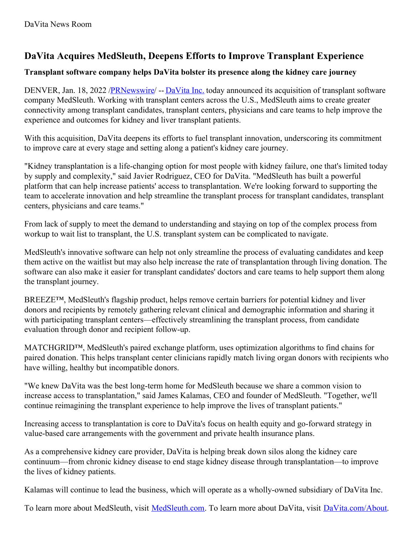# **DaVita Acquires MedSleuth, Deepens Efforts to Improve Transplant Experience**

### **Transplant software company helps DaVita bolster its presence along the kidney care journey**

DENVER, Jan. 18, 2022 [/PRNewswire](http://www.prnewswire.com/)/ -- [DaVita](https://c212.net/c/link/?t=0&l=en&o=3415258-1&h=3719331654&u=http%3A%2F%2Fwww.davita.com%2Fabout&a=DaVita+Inc.) Inc. today announced its acquisition of transplant software company MedSleuth. Working with transplant centers across the U.S., MedSleuth aims to create greater connectivity among transplant candidates, transplant centers, physicians and care teams to help improve the experience and outcomes for kidney and liver transplant patients.

With this acquisition, DaVita deepens its efforts to fuel transplant innovation, underscoring its commitment to improve care at every stage and setting along a patient's kidney care journey.

"Kidney transplantation is a life-changing option for most people with kidney failure, one that's limited today by supply and complexity," said Javier Rodriguez, CEO for DaVita. "MedSleuth has built a powerful platform that can help increase patients' access to transplantation. We're looking forward to supporting the team to accelerate innovation and help streamline the transplant process for transplant candidates, transplant centers, physicians and care teams."

From lack of supply to meet the demand to understanding and staying on top of the complex process from workup to wait list to transplant, the U.S. transplant system can be complicated to navigate.

MedSleuth's innovative software can help not only streamline the process of evaluating candidates and keep them active on the waitlist but may also help increase the rate of transplantation through living donation. The software can also make it easier for transplant candidates' doctors and care teams to help support them along the transplant journey.

BREEZE™, MedSleuth's flagship product, helps remove certain barriers for potential kidney and liver donors and recipients by remotely gathering relevant clinical and demographic information and sharing it with participating transplant centers—effectively streamlining the transplant process, from candidate evaluation through donor and recipient follow-up.

MATCHGRID™, MedSleuth's paired exchange platform, uses optimization algorithms to find chains for paired donation. This helps transplant center clinicians rapidly match living organ donors with recipients who have willing, healthy but incompatible donors.

"We knew DaVita was the best long-term home for MedSleuth because we share a common vision to increase access to transplantation," said James Kalamas, CEO and founder of MedSleuth. "Together, we'll continue reimagining the transplant experience to help improve the lives of transplant patients."

Increasing access to transplantation is core to DaVita's focus on health equity and go-forward strategy in value-based care arrangements with the government and private health insurance plans.

As a comprehensive kidney care provider, DaVita is helping break down silos along the kidney care continuum—from chronic kidney disease to end stage kidney disease through transplantation—to improve the lives of kidney patients.

Kalamas will continue to lead the business, which will operate as a wholly-owned subsidiary of DaVita Inc.

To learn more about MedSleuth, visit [MedSleuth.com](https://c212.net/c/link/?t=0&l=en&o=3415258-1&h=608286387&u=https%3A%2F%2Fwww.medsleuth.com%2F&a=MedSleuth.com). To learn more about DaVita, visit [DaVita.com/About](https://c212.net/c/link/?t=0&l=en&o=3415258-1&h=51045349&u=http%3A%2F%2Fwww.davita.com%2Fabout&a=DaVita.com%2FAbout).